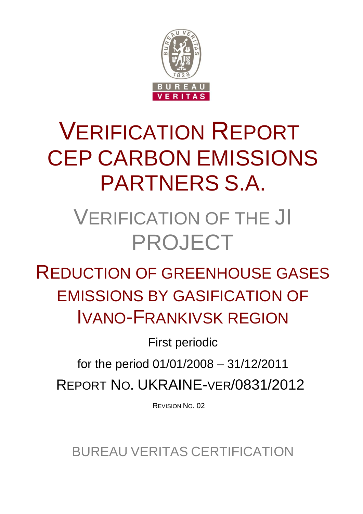

# VERIFICATION REPORT CEP CARBON EMISSIONS PARTNERS S.A.

## VERIFICATION OF THE JI PROJECT

REDUCTION OF GREENHOUSE GASES EMISSIONS BY GASIFICATION OF IVANO-FRANKIVSK REGION

First periodic

for the period 01/01/2008 – 31/12/2011

REPORT NO. UKRAINE-VER/0831/2012

REVISION NO. 02

BUREAU VERITAS CERTIFICATION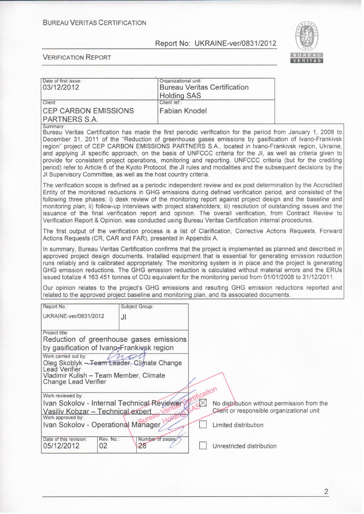

| Date of first issue:<br>03/12/2012                                                                                                                                                                   | Organizational unit:<br><b>Bureau Veritas Certification</b>                                                                                                                                                                                                                                                                                                                                                                                                                                                                                                                                                                                                                             |  |
|------------------------------------------------------------------------------------------------------------------------------------------------------------------------------------------------------|-----------------------------------------------------------------------------------------------------------------------------------------------------------------------------------------------------------------------------------------------------------------------------------------------------------------------------------------------------------------------------------------------------------------------------------------------------------------------------------------------------------------------------------------------------------------------------------------------------------------------------------------------------------------------------------------|--|
| Client:                                                                                                                                                                                              | <b>Holding SAS</b><br>Client ref.:                                                                                                                                                                                                                                                                                                                                                                                                                                                                                                                                                                                                                                                      |  |
| <b>CEP CARBON EMISSIONS</b><br>PARTNERS S.A.                                                                                                                                                         | <b>Fabian Knodel</b>                                                                                                                                                                                                                                                                                                                                                                                                                                                                                                                                                                                                                                                                    |  |
| Summary:                                                                                                                                                                                             |                                                                                                                                                                                                                                                                                                                                                                                                                                                                                                                                                                                                                                                                                         |  |
| JI Supervisory Committee, as well as the host country criteria.                                                                                                                                      | Bureau Veritas Certification has made the first periodic verification for the period from January 1, 2008 to<br>December 31, 2011 of the "Reduction of greenhouse gases emissions by gasification of Ivano-Frankivsk<br>region" project of CEP CARBON EMISSIONS PARTNERS S.A., located in Ivano-Frankivsk region, Ukraine,<br>and applying JI specific approach, on the basis of UNFCCC criteria for the JI, as well as criteria given to<br>provide for consistent project operations, monitoring and reporting. UNFCCC criteria (but for the crediting<br>period) refer to Article 6 of the Kyoto Protocol, the JI rules and modalities and the subsequent decisions by the           |  |
|                                                                                                                                                                                                      | The verification scope is defined as a periodic independent review and ex post determination by the Accredited<br>Entity of the monitored reductions in GHG emissions during defined verification period, and consisted of the<br>following three phases: i) desk review of the monitoring report against project design and the baseline and<br>monitoring plan; ii) follow-up interviews with project stakeholders; iii) resolution of outstanding issues and the<br>issuance of the final verification report and opinion. The overall verification, from Contract Review to<br>Verification Report & Opinion, was conducted using Bureau Veritas Certification internal procedures. |  |
| Actions Requests (CR, CAR and FAR), presented in Appendix A.                                                                                                                                         | The first output of the verification process is a list of Clarification, Corrective Actions Requests, Forward                                                                                                                                                                                                                                                                                                                                                                                                                                                                                                                                                                           |  |
|                                                                                                                                                                                                      | In summary, Bureau Veritas Certification confirms that the project is implemented as planned and described in<br>approved project design documents. Installed equipment that is essential for generating emission reduction<br>runs reliably and is calibrated appropriately. The monitoring system is in place and the project is generating<br>GHG emission reductions. The GHG emission reduction is calculated without material errors and the ERUs<br>issued totalize 4 163 451 tonnes of CO <sub>2</sub> equivalent for the monitoring period from 01/01/2008 to 31/12/2011.                                                                                                      |  |
|                                                                                                                                                                                                      | Our opinion relates to the project's GHG emissions and resulting GHG emission reductions reported and<br>related to the approved project baseline and monitoring plan, and its associated documents.                                                                                                                                                                                                                                                                                                                                                                                                                                                                                    |  |
| Subject Group:<br>Report No.:                                                                                                                                                                        |                                                                                                                                                                                                                                                                                                                                                                                                                                                                                                                                                                                                                                                                                         |  |
| UKRAINE-ver/0831/2012<br>JI                                                                                                                                                                          |                                                                                                                                                                                                                                                                                                                                                                                                                                                                                                                                                                                                                                                                                         |  |
| Project title:<br>Reduction of greenhouse gases emissions<br>by gasification of Ivano-Frankivsk region<br>Work carried out by:<br>Oleg Skoblyk - Team Leader, Climate Change<br><b>Lead Verifier</b> |                                                                                                                                                                                                                                                                                                                                                                                                                                                                                                                                                                                                                                                                                         |  |
| Vladimir Kulish - Team Member, Climate<br><b>Change Lead Verifier</b>                                                                                                                                |                                                                                                                                                                                                                                                                                                                                                                                                                                                                                                                                                                                                                                                                                         |  |
| Work reviewed by:                                                                                                                                                                                    | tification                                                                                                                                                                                                                                                                                                                                                                                                                                                                                                                                                                                                                                                                              |  |
| Ivan Sokolov - Internal Technical Reviewer<br>Vasiliy Kobzar - Technical expert<br>Work approved by:                                                                                                 | AR<br>No distribution without permission from the<br>Client or responsible organizational unit                                                                                                                                                                                                                                                                                                                                                                                                                                                                                                                                                                                          |  |
| Ivan Sokolov - Operational Manager Hold                                                                                                                                                              | Limited distribution                                                                                                                                                                                                                                                                                                                                                                                                                                                                                                                                                                                                                                                                    |  |
| Date of this revision:<br>Rev. No.:<br>05/12/2012<br>02<br>28                                                                                                                                        | Number of pages?<br>Unrestricted distribution                                                                                                                                                                                                                                                                                                                                                                                                                                                                                                                                                                                                                                           |  |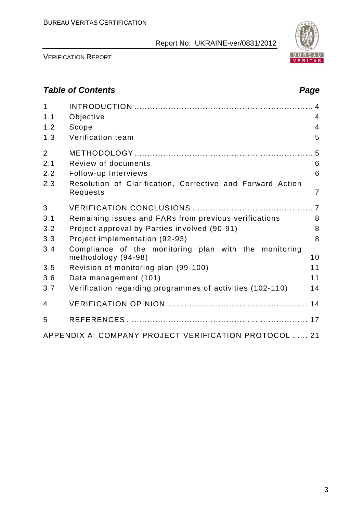

VERIFICATION REPORT

## *Table of Contents Page*

| $\mathbf{1}$<br>1.1 | Objective                                                                    | 4              |
|---------------------|------------------------------------------------------------------------------|----------------|
| 1.2                 | Scope                                                                        | $\overline{4}$ |
| 1.3                 | Verification team                                                            | 5              |
| $\overline{2}$      |                                                                              |                |
| 2.1                 | <b>Review of documents</b>                                                   | 6              |
| 2.2                 | Follow-up Interviews                                                         | 6              |
| 2.3                 | Resolution of Clarification, Corrective and Forward Action<br>Requests       | 7              |
| 3                   |                                                                              |                |
| 3.1                 | Remaining issues and FARs from previous verifications                        | 8              |
| 3.2                 | Project approval by Parties involved (90-91)                                 | 8              |
| 3.3                 | Project implementation (92-93)                                               | 8              |
| 3.4                 | Compliance of the monitoring plan with the monitoring<br>methodology (94-98) | 10             |
| 3.5                 | Revision of monitoring plan (99-100)                                         | 11             |
| 3.6                 | Data management (101)                                                        | 11             |
| 3.7                 | Verification regarding programmes of activities (102-110)                    | 14             |
| 4                   |                                                                              |                |
| 5                   |                                                                              |                |
|                     | APPENDIX A: COMPANY PROJECT VERIFICATION PROTOCOL  21                        |                |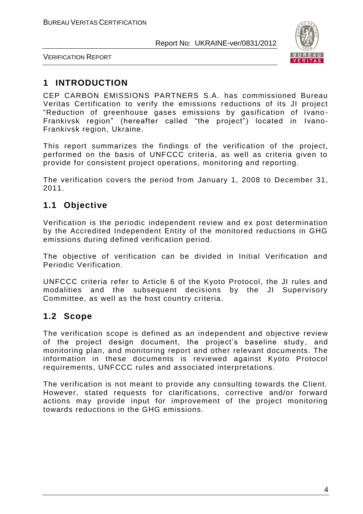

VERIFICATION REPORT

## **1 INTRODUCTION**

CEP CARBON EMISSIONS PARTNERS S.A. has commissioned Bureau Veritas Certification to verify the emissions reductions of its JI project "Reduction of greenhouse gases emissions by gasification of Ivano - Frankivsk region" (hereafter called "the project") located in Ivano-Frankivsk region, Ukraine.

This report summarizes the findings of the verification of the project, performed on the basis of UNFCCC criteria, as well as criteria given to provide for consistent project operations, monitoring and reporting.

The verification covers the period from January 1, 2008 to December 31, 2011.

## **1.1 Objective**

Verification is the periodic independent review and ex post determination by the Accredited Independent Entity of the monitored reductions in GHG emissions during defined verification period.

The objective of verification can be divided in Initial Verification and Periodic Verification.

UNFCCC criteria refer to Article 6 of the Kyoto Protocol, the JI rules and modalities and the subsequent decisions by the JI Supervisory Committee, as well as the host country criteria.

## **1.2 Scope**

The verification scope is defined as an independent and objective review of the project design document, the project's baseline study, and monitoring plan, and monitoring report and other relevant documents. The information in these documents is reviewed against Kyoto Protocol requirements, UNFCCC rules and associated interpretations.

The verification is not meant to provide any consulting towards the Client. However, stated requests for clarifications, corrective and/or forward actions may provide input for improvement of the project monitoring towards reductions in the GHG emissions.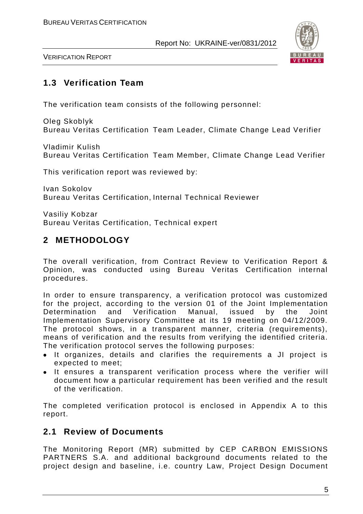

VERIFICATION REPORT

## **1.3 Verification Team**

The verification team consists of the following personnel:

Oleg Skoblyk Bureau Veritas Certification Team Leader, Climate Change Lead Verifier

Vladimir Kulish Bureau Veritas Certification Team Member, Climate Change Lead Verifier

This verification report was reviewed by:

Ivan Sokolov Bureau Veritas Certification, Internal Technical Reviewer

Vasiliy Kobzar Bureau Veritas Certification, Technical expert

## **2 METHODOLOGY**

The overall verification, from Contract Review to Verification Report & Opinion, was conducted using Bureau Veritas Certification internal procedures.

In order to ensure transparency, a verification protocol was customized for the project, according to the version 01 of the Joint Implementation Determination and Verification Manual, issued by the Joint Implementation Supervisory Committee at its 19 meeting on 04/12/2009. The protocol shows, in a transparent manner, criteria (requirements), means of verification and the results from verifying the identified criteria. The verification protocol serves the following purposes:

- It organizes, details and clarifies the requirements a JI project is expected to meet;
- It ensures a transparent verification process where the verifier will document how a particular requirement has been verified and the result of the verification.

The completed verification protocol is enclosed in Appendix A to this report.

## **2.1 Review of Documents**

The Monitoring Report (MR) submitted by CEP CARBON EMISSIONS PARTNERS S.A. and additional background documents related to the project design and baseline, i.e. country Law, Project Design Document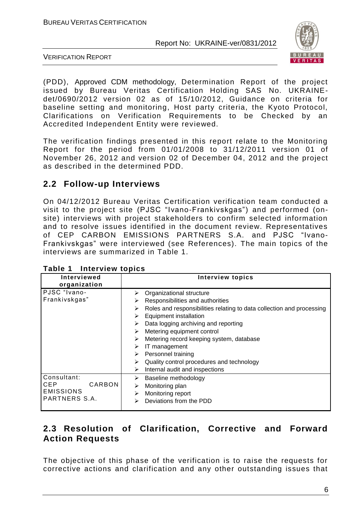

VERIFICATION REPORT

(PDD), Approved CDM methodology, Determination Report of the project issued by Bureau Veritas Certification Holding SAS No. UKRAINEdet/0690/2012 version 02 as of 15/10/2012, Guidance on criteria for baseline setting and monitoring, Host party criteria, the Kyoto Protocol, Clarifications on Verification Requirements to be Checked by an Accredited Independent Entity were reviewed.

The verification findings presented in this report relate to the Monitoring Report for the period from 01/01/2008 to 31/12/2011 version 01 of November 26, 2012 and version 02 of December 04, 2012 and the project as described in the determined PDD.

## **2.2 Follow-up Interviews**

On 04/12/2012 Bureau Veritas Certification verification team conducted a visit to the project site (PJSC "Ivano-Frankivskgas") and performed (onsite) interviews with project stakeholders to confirm selected information and to resolve issues identified in the document review. Representatives of CEP CARBON EMISSIONS PARTNERS S.A. and PJSC "Ivano-Frankivskgas" were interviewed (see References). The main topics of the interviews are summarized in Table 1.

| Interviewed<br>organization                                              | <b>Interview topics</b>                                                                                                                                                                                                                                                                                                                                                                                                                    |
|--------------------------------------------------------------------------|--------------------------------------------------------------------------------------------------------------------------------------------------------------------------------------------------------------------------------------------------------------------------------------------------------------------------------------------------------------------------------------------------------------------------------------------|
| PJSC "Ivano-<br>Frankivskgas"                                            | Organizational structure<br>Responsibilities and authorities<br>➤<br>Roles and responsibilities relating to data collection and processing<br>➤<br>Equipment installation<br>Data logging archiving and reporting<br>Metering equipment control<br>➤<br>Metering record keeping system, database<br>➤<br>IT management<br>⋗<br>Personnel training<br>Quality control procedures and technology<br>⋗<br>Internal audit and inspections<br>⋗ |
| Consultant:<br>CARBON<br><b>CEP</b><br><b>EMISSIONS</b><br>PARTNERS S.A. | Baseline methodology<br>➤<br>Monitoring plan<br>Monitoring report<br>Deviations from the PDD                                                                                                                                                                                                                                                                                                                                               |

**Table 1 Interview topics**

## **2.3 Resolution of Clarification, Corrective and Forward Action Requests**

The objective of this phase of the verification is to raise the requests for corrective actions and clarification and any other outstanding issues that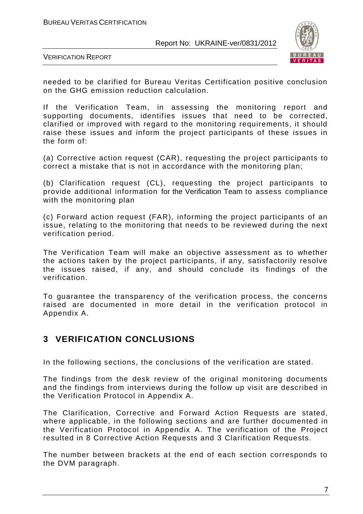

VERIFICATION REPORT

needed to be clarified for Bureau Veritas Certification positive conclusion on the GHG emission reduction calculation.

If the Verification Team, in assessing the monitoring report and supporting documents, identifies issues that need to be corrected, clarified or improved with regard to the monitoring requirements, it should raise these issues and inform the project participants of these issues in the form of:

(a) Corrective action request (CAR), requesting the project participants to correct a mistake that is not in accordance with the monitoring plan;

(b) Clarification request (CL), requesting the project participants to provide additional information for the Verification Team to assess compliance with the monitoring plan

(c) Forward action request (FAR), informing the project participants of an issue, relating to the monitoring that needs to be reviewed during the next verification period.

The Verification Team will make an objective assessment as to whether the actions taken by the project participants, if any, satisfactorily resolve the issues raised, if any, and should conclude its findings of the verification.

To guarantee the transparency of the verification process, the concerns raised are documented in more detail in the verification protocol in Appendix A.

## **3 VERIFICATION CONCLUSIONS**

In the following sections, the conclusions of the verification are stated.

The findings from the desk review of the original monitoring documents and the findings from interviews during the follow up visit are described in the Verification Protocol in Appendix A.

The Clarification, Corrective and Forward Action Requests are stated, where applicable, in the following sections and are further documented in the Verification Protocol in Appendix A. The verification of the Project resulted in 8 Corrective Action Requests and 3 Clarification Requests.

The number between brackets at the end of each section corresponds to the DVM paragraph.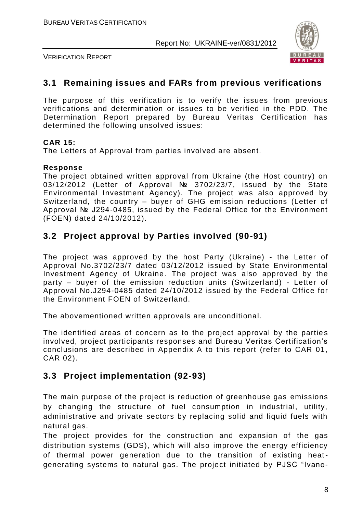

VERIFICATION REPORT

#### **3.1 Remaining issues and FARs from previous verifications**

The purpose of this verification is to verify the issues from previous verifications and determination or issues to be verified in the PDD. The Determination Report prepared by Bureau Veritas Certification has determined the following unsolved issues:

#### **CAR 15:**

The Letters of Approval from parties involved are absent.

#### **Response**

The project obtained written approval from Ukraine (the Host country) on 03/12/2012 (Letter of Approval № 3702/23/7, issued by the State Environmental Investment Agency). The project was also approved by Switzerland, the country – buyer of GHG emission reductions (Letter of Approval № J294-0485, issued by the Federal Office for the Environment (FOEN) dated 24/10/2012).

## **3.2 Project approval by Parties involved (90-91)**

The project was approved by the host Party (Ukraine) - the Letter of Approval No.3702/23/7 dated 03/12/2012 issued by State Environmental Investment Agency of Ukraine. The project was also approved by the party – buyer of the emission reduction units (Switzerland) - Letter of Approval No.J294-0485 dated 24/10/2012 issued by the Federal Office for the Environment FOEN of Switzerland.

The abovementioned written approvals are unconditional.

The identified areas of concern as to the project approval by the parties involved, project participants responses and Bureau Veritas Certification's conclusions are described in Appendix A to this report (refer to CAR 01 , CAR 02).

## **3.3 Project implementation (92-93)**

The main purpose of the project is reduction of greenhouse gas emissions by changing the structure of fuel consumption in industrial, utility, administrative and private sectors by replacing solid and liquid fuels with natural gas.

The project provides for the construction and expansion of the gas distribution systems (GDS), which will also improve the energy efficiency of thermal power generation due to the transition of existing heatgenerating systems to natural gas. The project initiated by PJSC "Ivano-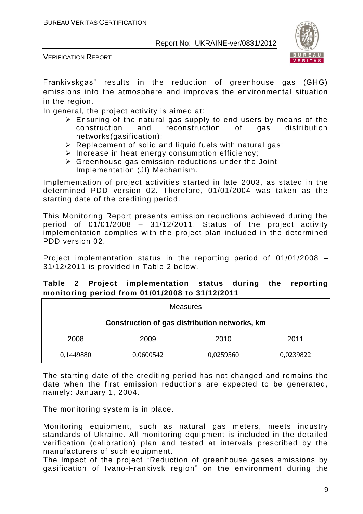

VERIFICATION REPORT

Frankivskgas" results in the reduction of greenhouse gas (GHG) emissions into the atmosphere and improves the environmental situation in the region.

In general, the project activity is aimed at:

- $\triangleright$  Ensuring of the natural gas supply to end users by means of the construction and reconstruction of gas distribution networks(gasification);
- $\triangleright$  Replacement of solid and liquid fuels with natural gas;
- $\triangleright$  Increase in heat energy consumption efficiency;
- $\triangleright$  Greenhouse gas emission reductions under the Joint Implementation (JI) Mechanism.

Implementation of project activities started in late 2003, as stated in the determined PDD version 02. Therefore, 01/01/2004 was taken as the starting date of the crediting period.

This Monitoring Report presents emission reductions achieved during the period of 01/01/2008 – 31/12/2011. Status of the project activity implementation complies with the project plan included in the determined PDD version 02.

Project implementation status in the reporting period of 01/01/2008 – 31/12/2011 is provided in Table 2 below.

|  | Table 2 Flolect implementation status during the reporting |  |  |
|--|------------------------------------------------------------|--|--|
|  | monitoring period from 01/01/2008 to 31/12/2011            |  |  |
|  | Moscuros                                                   |  |  |

**Table 2 Project implementation status during the reporting** 

| <b>Measures</b>                               |           |           |           |  |  |
|-----------------------------------------------|-----------|-----------|-----------|--|--|
| Construction of gas distribution networks, km |           |           |           |  |  |
| 2008<br>2009<br>2010<br>2011                  |           |           |           |  |  |
| 0,1449880                                     | 0,0600542 | 0,0259560 | 0,0239822 |  |  |

The starting date of the crediting period has not changed and remains the date when the first emission reductions are expected to be generated, namely: January 1, 2004.

The monitoring system is in place.

Monitoring equipment, such as natural gas meters, meets industry standards of Ukraine. All monitoring equipment is included in the detailed verification (calibration) plan and tested at intervals prescribed by the manufacturers of such equipment.

The impact of the project "Reduction of greenhouse gases emissions by gasification of Ivano-Frankivsk region" on the environment during the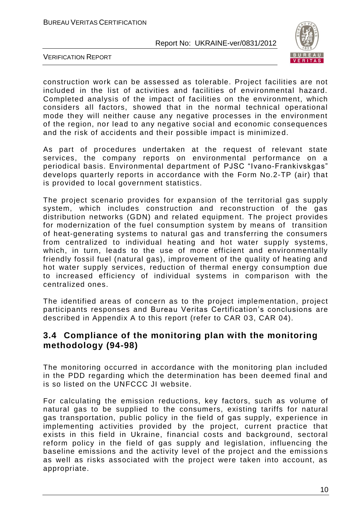

VERIFICATION REPORT

construction work can be assessed as tolerable. Project facilities are not included in the list of activities and facilities of environmental hazard. Completed analysis of the impact of facilities on the environment, which considers all factors, showed that in the normal technical operational mode they will neither cause any negative processes in the environment of the region, nor lead to any negative social and economic consequences and the risk of accidents and their possible impact is minimize d.

As part of procedures undertaken at the request of relevant state services, the company reports on environmental performance on a periodical basis. Environmental department of PJSC "Ivano-Frankivskgas" develops quarterly reports in accordance with the Form No.2-TP (air) that is provided to local government statistics.

The project scenario provides for expansion of the territorial gas supply system, which includes construction and reconstruction of the gas distribution networks (GDN) and related equipment. The project provides for modernization of the fuel consumption system by means of transition of heat-generating systems to natural gas and transferring the consumers from centralized to individual heating and hot water supply systems, which, in turn, leads to the use of more efficient and environmentally friendly fossil fuel (natural gas), improvement of the quality of heating and hot water supply services, reduction of thermal energy consumption due to increased efficiency of individual systems in comparison with the centralized ones.

The identified areas of concern as to the project implementation, project participants responses and Bureau Veritas Certification's conclusions are described in Appendix A to this report (refer to CAR 03, CAR 04).

#### **3.4 Compliance of the monitoring plan with the monitoring methodology (94-98)**

The monitoring occurred in accordance with the monitoring plan included in the PDD regarding which the determination has been deemed final and is so listed on the UNFCCC JI website.

For calculating the emission reductions, key factors, such as volume of natural gas to be supplied to the consumers, existing tariffs for natural gas transportation, public policy in the field of gas supply, experience in implementing activities provided by the project, current practice that exists in this field in Ukraine, financial costs and background, sectoral reform policy in the field of gas supply and legislation, influencing the baseline emissions and the activity level of the project and the emission s as well as risks associated with the project were taken into account, as appropriate.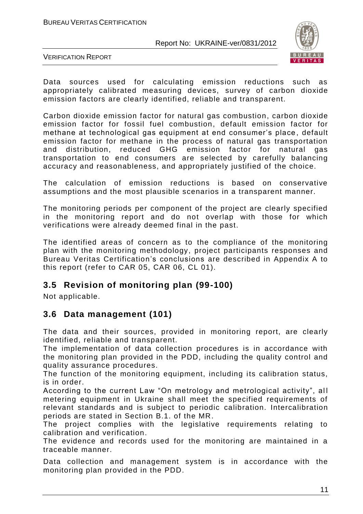

VERIFICATION REPORT

Data sources used for calculating emission reductions such as appropriately calibrated measuring devices, survey of carbon dioxide emission factors are clearly identified, reliable and transparent.

Carbon dioxide emission factor for natural gas combustion, carbon dioxide emission factor for fossil fuel combustion, default emission factor for methane at technological gas equipment at end consumer's place , default emission factor for methane in the process of natural gas transportation and distribution, reduced GHG emission factor for natural gas transportation to end consumers are selected by carefully balancing accuracy and reasonableness, and appropriately justified of the choice.

The calculation of emission reductions is based on conservative assumptions and the most plausible scenarios in a transparent manner.

The monitoring periods per component of the project are clearly specified in the monitoring report and do not overlap with those for which verifications were already deemed final in the past.

The identified areas of concern as to the compliance of the monitoring plan with the monitoring methodology, project participants responses and Bureau Veritas Certification's conclusions are described in Appendix A to this report (refer to CAR 05, CAR 06, CL 01).

## **3.5 Revision of monitoring plan (99-100)**

Not applicable.

## **3.6 Data management (101)**

The data and their sources, provided in monitoring report, are clearly identified, reliable and transparent.

The implementation of data collection procedures is in accordance with the monitoring plan provided in the PDD, including the quality control and quality assurance procedures.

The function of the monitoring equipment, including its calibration status, is in order.

According to the current Law "On metrology and metrological activity", all metering equipment in Ukraine shall meet the specified requirements of relevant standards and is subject to periodic calibration. Intercalibration periods are stated in Section B.1. of the MR.

The project complies with the legislative requirements relating to calibration and verification.

The evidence and records used for the monitoring are maintained in a traceable manner.

Data collection and management system is in accordance with the monitoring plan provided in the PDD.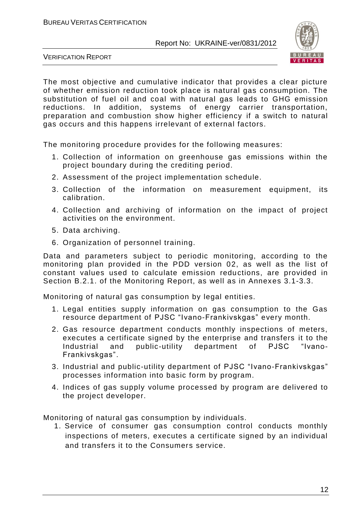

VERIFICATION REPORT

The most objective and cumulative indicator that provides a clear picture of whether emission reduction took place is natural gas consumption. The substitution of fuel oil and coal with natural gas leads to GHG emission reductions. In addition, systems of energy carrier transportation, preparation and combustion show higher efficiency if a switch to natural gas occurs and this happens irrelevant of external factors.

The monitoring procedure provides for the following measures:

- 1. Collection of information on greenhouse gas emissions within the project boundary during the crediting period.
- 2. Assessment of the project implementation schedule.
- 3. Collection of the information on measurement equipment, its calibration.
- 4. Collection and archiving of information on the impact of project activities on the environment.
- 5. Data archiving.
- 6. Organization of personnel training.

Data and parameters subject to periodic monitoring, according to the monitoring plan provided in the PDD version 02, as well as the list of constant values used to calculate emission reductions, are provided in Section B.2.1. of the Monitoring Report, as well as in Annexes 3.1-3.3.

Monitoring of natural gas consumption by legal entities.

- 1. Legal entities supply information on gas consumption to the Gas resource department of PJSC "Ivano-Frankivskgas" every month.
- 2. Gas resource department conducts monthly inspections of meters, executes a certificate signed by the enterprise and transfers it to the Industrial and public-utility department of PJSC "Ivano-Frankivskgas".
- 3. Industrial and public-utility department of PJSC "Ivano-Frankivskgas" processes information into basic form by program.
- 4. Indices of gas supply volume processed by program are delivered to the project developer.

Monitoring of natural gas consumption by individuals.

1. Service of consumer gas consumption control conducts monthly inspections of meters, executes a certificate signed by an individual and transfers it to the Consumers service.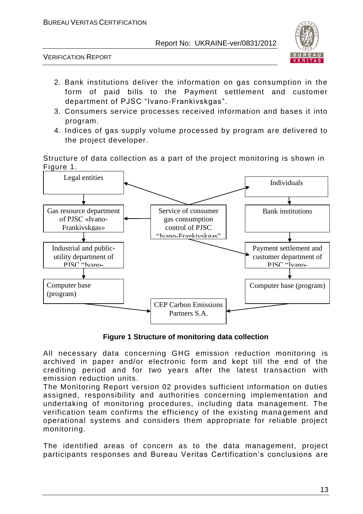

VERIFICATION REPORT

- 2. Bank institutions deliver the information on gas consumption in the form of paid bills to the Payment settlement and customer department of PJSC "Ivano-Frankivskgas".
- 3. Consumers service processes received information and bases it into program.
- 4. Indices of gas supply volume processed by program are delivered to the project developer.

Structure of data collection as a part of the project monitoring is shown in Figure 1.



**Figure 1 Structure of monitoring data collection**

All necessary data concerning GHG emission reduction monitoring is archived in paper and/or electronic form and kept till the end of the crediting period and for two years after the latest transaction with emission reduction units.

The Monitoring Report version 02 provides sufficient information on duties assigned, responsibility and authorities concerning implementation and undertaking of monitoring procedures, including data management. The verification team confirms the efficiency of the existing mana gement and operational systems and considers them appropriate for reliable project monitoring.

The identified areas of concern as to the data management, project participants responses and Bureau Veritas Certification's conclusions are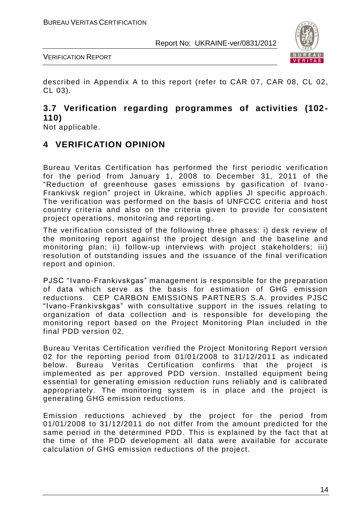

VERIFICATION REPORT

described in Appendix A to this report (refer to CAR 07, CAR 08, CL 02, CL 03).

#### **3.7 Verification regarding programmes of activities (102- 110)**

Not applicable.

## **4 VERIFICATION OPINION**

Bureau Veritas Certification has performed the first periodic verification for the period from January 1, 2008 to December 31, 2011 of the "Reduction of greenhouse gases emissions by gasification of Ivano - Frankivsk region" project in Ukraine, which applies JI specific approach. The verification was performed on the basis of UNFCCC criteria and host country criteria and also on the criteria given to provide for consistent project operations, monitoring and reporting.

The verification consisted of the following three phases: i) desk review of the monitoring report against the project design and the base line and monitoring plan; ii) follow-up interviews with project stakeholders; iii) resolution of outstanding issues and the issuance of the final verification report and opinion.

PJSC "Ivano-Frankivskgas" management is responsible for the preparation of data which serve as the basis for estimation of GHG emission reductions. CEP CARBON EMISSIONS PARTNERS S.A. provides PJSC "Ivano-Frankivskgas" with consultative support in the issues relating to organization of data collection and is responsible for develo ping the monitoring report based on the Project Monitoring Plan included in the final PDD version 02.

Bureau Veritas Certification verified the Project Monitoring Report version 02 for the reporting period from 01/01/2008 to 31/12/2011 as indicated below. Bureau Veritas Certification confirms that the project is implemented as per approved PDD version. Installed equipment being essential for generating emission reduction runs reliably and is calibrated appropriately. The monitoring system is in place and the project is generating GHG emission reductions.

Emission reductions achieved by the project for the period from 01/01/2008 to 31/12/2011 do not differ from the amount predicted for the same period in the determined PDD. This is explained by the fact that at the time of the PDD development all data were available for accurate calculation of GHG emission reductions of the project.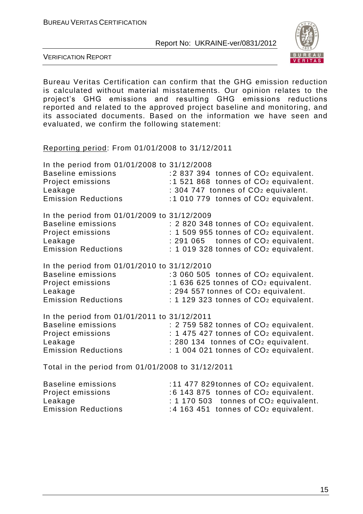

VERIFICATION REPORT

Bureau Veritas Certification can confirm that the GHG emission reduction is calculated without material misstatements. Our opinion relates to the project's GHG emissions and resulting GHG emissions reductions reported and related to the approved project baseline and monitoring, and its associated documents. Based on the information we have seen and evaluated, we confirm the following statement:

Reporting period: From 01/01/2008 to 31/12/2011

| In the period from 01/01/2008 to 31/12/2008       |                                                   |
|---------------------------------------------------|---------------------------------------------------|
| <b>Baseline emissions</b>                         | :2 837 394 tonnes of CO <sub>2</sub> equivalent.  |
| Project emissions                                 | :1 521 868 tonnes of CO <sub>2</sub> equivalent.  |
| Leakage                                           | : 304 747 tonnes of CO <sub>2</sub> equivalent.   |
| <b>Emission Reductions</b>                        | :1 010 779 tonnes of CO <sub>2</sub> equivalent.  |
| In the period from 01/01/2009 to 31/12/2009       |                                                   |
| <b>Baseline emissions</b>                         | : 2 820 348 tonnes of CO <sub>2</sub> equivalent. |
| Project emissions                                 | : 1 509 955 tonnes of CO <sub>2</sub> equivalent. |
| Leakage                                           | $: 291065$ tonnes of $CO2$ equivalent.            |
| <b>Emission Reductions</b>                        | $: 1019328$ tonnes of $CO2$ equivalent.           |
| In the period from 01/01/2010 to 31/12/2010       |                                                   |
| <b>Baseline emissions</b>                         | :3 060 505 tonnes of CO <sub>2</sub> equivalent.  |
| Project emissions                                 | :1 636 625 tonnes of CO <sub>2</sub> equivalent.  |
| Leakage                                           | : 294 557 tonnes of CO <sub>2</sub> equivalent.   |
| <b>Emission Reductions</b>                        | : 1 129 323 tonnes of CO <sub>2</sub> equivalent. |
| In the period from 01/01/2011 to 31/12/2011       |                                                   |
| <b>Baseline emissions</b>                         | : 2 759 582 tonnes of CO <sub>2</sub> equivalent. |
| Project emissions                                 | : 1 475 427 tonnes of CO <sub>2</sub> equivalent. |
| Leakage                                           | : 280 134 tonnes of CO <sub>2</sub> equivalent.   |
| <b>Emission Reductions</b>                        | : 1 004 021 tonnes of CO <sub>2</sub> equivalent. |
| Total in the period from 01/01/2008 to 31/12/2011 |                                                   |

Total in the period from 01/01/2008 to 31/12/2011

| Baseline emissions         | :11 477 829 tonnes of $CO2$ equivalent.                |
|----------------------------|--------------------------------------------------------|
| Project emissions          | $:6$ 143 875 tonnes of $CO2$ equivalent.               |
| Leakage                    | $\div$ 1 170 503 tonnes of CO <sub>2</sub> equivalent. |
| <b>Emission Reductions</b> | :4 163 451 tonnes of $CO2$ equivalent.                 |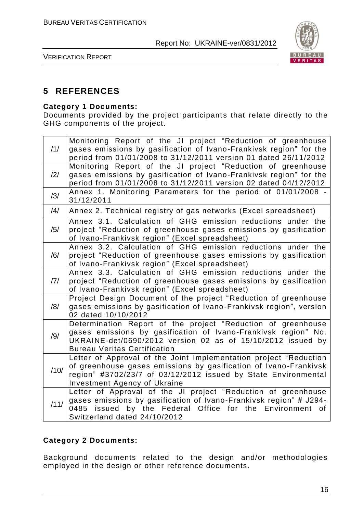

VERIFICATION REPORT

## **5 REFERENCES**

#### **Category 1 Documents:**

Documents provided by the project participants that relate directly to the GHG components of the project.

| /1/            | Monitoring Report of the JI project "Reduction of greenhouse<br>gases emissions by gasification of Ivano-Frankivsk region" for the<br>period from 01/01/2008 to 31/12/2011 version 01 dated 26/11/2012                                         |
|----------------|------------------------------------------------------------------------------------------------------------------------------------------------------------------------------------------------------------------------------------------------|
| /2/            | Monitoring Report of the JI project "Reduction of greenhouse<br>gases emissions by gasification of Ivano-Frankivsk region" for the<br>period from 01/01/2008 to 31/12/2011 version 02 dated 04/12/2012                                         |
| /3/            | Annex 1. Monitoring Parameters for the period of 01/01/2008 -<br>31/12/2011                                                                                                                                                                    |
| $\frac{14}{1}$ | Annex 2. Technical registry of gas networks (Excel spreadsheet)                                                                                                                                                                                |
| /5/            | Annex 3.1. Calculation of GHG emission reductions under the<br>project "Reduction of greenhouse gases emissions by gasification<br>of Ivano-Frankivsk region" (Excel spreadsheet)                                                              |
| /6/            | Annex 3.2. Calculation of GHG emission reductions under the<br>project "Reduction of greenhouse gases emissions by gasification<br>of Ivano-Frankivsk region" (Excel spreadsheet)                                                              |
| /7/            | Annex 3.3. Calculation of GHG emission reductions under the<br>project "Reduction of greenhouse gases emissions by gasification<br>of Ivano-Frankivsk region" (Excel spreadsheet)                                                              |
| /8/            | Project Design Document of the project "Reduction of greenhouse<br>gases emissions by gasification of Ivano-Frankivsk region", version<br>02 dated 10/10/2012                                                                                  |
| /9/            | Determination Report of the project "Reduction of greenhouse<br>gases emissions by gasification of Ivano-Frankivsk region" No.<br>UKRAINE-det/0690/2012 version 02 as of 15/10/2012 issued by<br><b>Bureau Veritas Certification</b>           |
| /10/           | Letter of Approval of the Joint Implementation project "Reduction<br>of greenhouse gases emissions by gasification of Ivano-Frankivsk<br>region" #3702/23/7 of 03/12/2012 issued by State Environmental<br><b>Investment Agency of Ukraine</b> |
| /11/           | Letter of Approval of the JI project "Reduction of greenhouse<br>gases emissions by gasification of Ivano-Frankivsk region" # J294-<br>0485 issued by the Federal Office for the Environment of<br>Switzerland dated 24/10/2012                |

#### **Category 2 Documents:**

Background documents related to the design and/or methodologies employed in the design or other reference documents.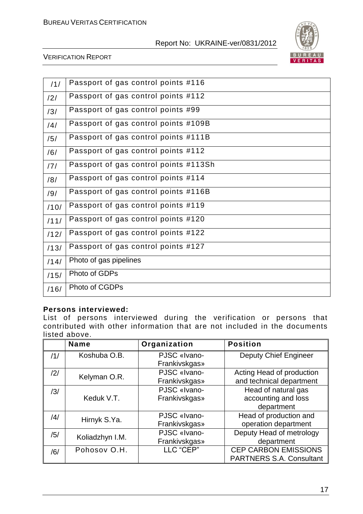

#### VERIFICATION REPORT

| /1/  | Passport of gas control points #116   |
|------|---------------------------------------|
| /2/  | Passport of gas control points #112   |
| /3/  | Passport of gas control points #99    |
| /4/  | Passport of gas control points #109B  |
| /5/  | Passport of gas control points #111B  |
| /6/  | Passport of gas control points #112   |
| /7/  | Passport of gas control points #113Sh |
| /8/  | Passport of gas control points #114   |
| /9/  | Passport of gas control points #116B  |
| /10/ | Passport of gas control points #119   |
| /11/ | Passport of gas control points #120   |
| /12/ | Passport of gas control points #122   |
| /13/ | Passport of gas control points #127   |
| /14/ | Photo of gas pipelines                |
| /15/ | Photo of GDPs                         |
| /16/ | Photo of CGDPs                        |

#### **Persons interviewed:**

List of persons interviewed during the verification or persons that contributed with other information that are not included in the documents listed above.

|     | <b>Name</b>     | Organization         | <b>Position</b>                 |
|-----|-----------------|----------------------|---------------------------------|
| /1/ | Koshuba O.B.    | PJSC «Ivano-         | <b>Deputy Chief Engineer</b>    |
|     |                 | Frankivskgas»        |                                 |
| /2/ |                 | PJSC «Ivano-         | Acting Head of production       |
|     | Kelyman O.R.    | <b>Frankivskgas»</b> | and technical department        |
| /3/ |                 | PJSC «Ivano-         | Head of natural gas             |
|     | Keduk V.T.      | <b>Frankivskgas»</b> | accounting and loss             |
|     |                 |                      | department                      |
| /4/ |                 | PJSC «Ivano-         | Head of production and          |
|     | Hirnyk S.Ya.    | <b>Frankivskgas»</b> | operation department            |
| /5/ | Koliadzhyn I.M. | PJSC «Ivano-         | Deputy Head of metrology        |
|     |                 | Frankivskgas»        | department                      |
| /6/ | Pohosov O.H.    | LLC "CEP"            | <b>CEP CARBON EMISSIONS</b>     |
|     |                 |                      | <b>PARTNERS S.A. Consultant</b> |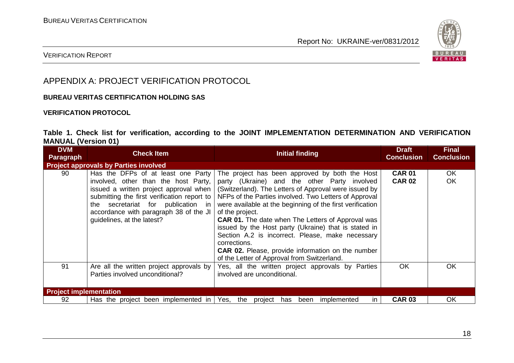

#### VERIFICATION REPORT

## APPENDIX A: PROJECT VERIFICATION PROTOCOL

#### **BUREAU VERITAS CERTIFICATION HOLDING SAS**

#### **VERIFICATION PROTOCOL**

#### **Table 1. Check list for verification, according to the JOINT IMPLEMENTATION DETERMINATION AND VERIFICATION MANUAL (Version 01)**

| <b>DVM</b><br><b>Paragraph</b> | <b>Check Item</b>                                                                                                                                                                                                                                                                    | Initial finding                                                                                                                                                                                                                                                                                                                                                                                                                                                                                                                                                                                     | <b>Draft</b><br><b>Conclusion</b> | <b>Final</b><br><b>Conclusion</b> |
|--------------------------------|--------------------------------------------------------------------------------------------------------------------------------------------------------------------------------------------------------------------------------------------------------------------------------------|-----------------------------------------------------------------------------------------------------------------------------------------------------------------------------------------------------------------------------------------------------------------------------------------------------------------------------------------------------------------------------------------------------------------------------------------------------------------------------------------------------------------------------------------------------------------------------------------------------|-----------------------------------|-----------------------------------|
|                                | <b>Project approvals by Parties involved</b>                                                                                                                                                                                                                                         |                                                                                                                                                                                                                                                                                                                                                                                                                                                                                                                                                                                                     |                                   |                                   |
| 90                             | Has the DFPs of at least one Party<br>involved, other than the host Party,<br>issued a written project approval when<br>submitting the first verification report to<br>secretariat for publication in<br>the<br>accordance with paragraph 38 of the JI<br>guidelines, at the latest? | The project has been approved by both the Host<br>party (Ukraine) and the other Party involved<br>(Switzerland). The Letters of Approval were issued by<br>NFPs of the Parties involved. Two Letters of Approval<br>were available at the beginning of the first verification<br>of the project.<br><b>CAR 01.</b> The date when The Letters of Approval was<br>issued by the Host party (Ukraine) that is stated in<br>Section A.2 is incorrect. Please, make necessary<br>corrections.<br><b>CAR 02.</b> Please, provide information on the number<br>of the Letter of Approval from Switzerland. | <b>CAR 01</b><br><b>CAR 02</b>    | OK.<br>OK                         |
| 91                             | Are all the written project approvals by<br>Parties involved unconditional?                                                                                                                                                                                                          | Yes, all the written project approvals by Parties<br>involved are unconditional.                                                                                                                                                                                                                                                                                                                                                                                                                                                                                                                    | <b>OK</b>                         | OK                                |
| <b>Project implementation</b>  |                                                                                                                                                                                                                                                                                      |                                                                                                                                                                                                                                                                                                                                                                                                                                                                                                                                                                                                     |                                   |                                   |
| 92                             | Has the project been implemented in $\sqrt{e}$ Yes, the                                                                                                                                                                                                                              | project has been<br>implemented<br>$\mathsf{I}$                                                                                                                                                                                                                                                                                                                                                                                                                                                                                                                                                     | <b>CAR 03</b>                     | <b>OK</b>                         |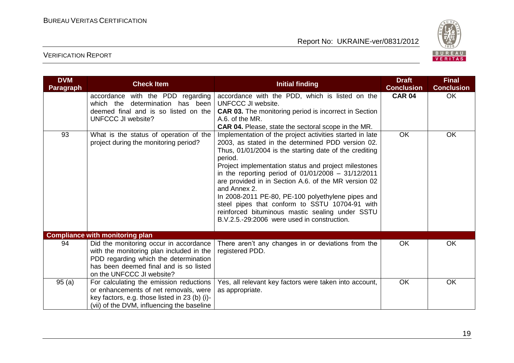

| <b>DVM</b><br><b>Paragraph</b> | <b>Check Item</b>                                                                                                                                                                                  | <b>Initial finding</b>                                                                                                                                                                                                                                                                                                                                                                                                                                                                                                                                                              | <b>Draft</b><br><b>Conclusion</b> | <b>Final</b><br><b>Conclusion</b> |
|--------------------------------|----------------------------------------------------------------------------------------------------------------------------------------------------------------------------------------------------|-------------------------------------------------------------------------------------------------------------------------------------------------------------------------------------------------------------------------------------------------------------------------------------------------------------------------------------------------------------------------------------------------------------------------------------------------------------------------------------------------------------------------------------------------------------------------------------|-----------------------------------|-----------------------------------|
|                                | accordance with the PDD regarding<br>which the determination has been<br>deemed final and is so listed on the<br>UNFCCC JI website?                                                                | accordance with the PDD, which is listed on the<br>UNFCCC JI website.<br><b>CAR 03.</b> The monitoring period is incorrect in Section<br>A.6. of the MR.<br><b>CAR 04.</b> Please, state the sectoral scope in the MR.                                                                                                                                                                                                                                                                                                                                                              | <b>CAR 04</b>                     | <b>OK</b>                         |
| 93                             | What is the status of operation of the<br>project during the monitoring period?                                                                                                                    | Implementation of the project activities started in late<br>2003, as stated in the determined PDD version 02.<br>Thus, 01/01/2004 is the starting date of the crediting<br>period.<br>Project implementation status and project milestones<br>in the reporting period of $01/01/2008 - 31/12/2011$<br>are provided in in Section A.6. of the MR version 02<br>and Annex 2.<br>In 2008-2011 PE-80, PE-100 polyethylene pipes and<br>steel pipes that conform to SSTU 10704-91 with<br>reinforced bituminous mastic sealing under SSTU<br>B.V.2.5.-29:2006 were used in construction. | OK                                | OK                                |
|                                | <b>Compliance with monitoring plan</b>                                                                                                                                                             |                                                                                                                                                                                                                                                                                                                                                                                                                                                                                                                                                                                     |                                   |                                   |
| 94                             | Did the monitoring occur in accordance<br>with the monitoring plan included in the<br>PDD regarding which the determination<br>has been deemed final and is so listed<br>on the UNFCCC JI website? | There aren't any changes in or deviations from the<br>registered PDD.                                                                                                                                                                                                                                                                                                                                                                                                                                                                                                               | <b>OK</b>                         | OK                                |
| 95(a)                          | For calculating the emission reductions<br>or enhancements of net removals, were<br>key factors, e.g. those listed in 23 (b) (i)-<br>(vii) of the DVM, influencing the baseline                    | Yes, all relevant key factors were taken into account,<br>as appropriate.                                                                                                                                                                                                                                                                                                                                                                                                                                                                                                           | <b>OK</b>                         | <b>OK</b>                         |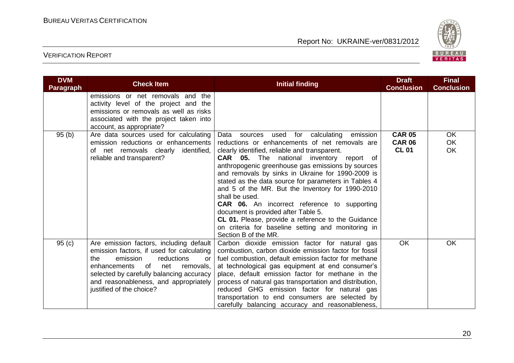

| <b>DVM</b><br><b>Paragraph</b> | <b>Check Item</b>                                                                                                                                                                                                                                                                       | <b>Initial finding</b>                                                                                                                                                                                                                                                                                                                                                                                                                                                                                                                                                                                                                                                              | <b>Draft</b><br><b>Conclusion</b>              | <b>Final</b><br><b>Conclusion</b> |
|--------------------------------|-----------------------------------------------------------------------------------------------------------------------------------------------------------------------------------------------------------------------------------------------------------------------------------------|-------------------------------------------------------------------------------------------------------------------------------------------------------------------------------------------------------------------------------------------------------------------------------------------------------------------------------------------------------------------------------------------------------------------------------------------------------------------------------------------------------------------------------------------------------------------------------------------------------------------------------------------------------------------------------------|------------------------------------------------|-----------------------------------|
|                                | emissions or net removals and the<br>activity level of the project and the<br>emissions or removals as well as risks<br>associated with the project taken into<br>account, as appropriate?                                                                                              |                                                                                                                                                                                                                                                                                                                                                                                                                                                                                                                                                                                                                                                                                     |                                                |                                   |
| 95(b)                          | Are data sources used for calculating<br>emission reductions or enhancements<br>of net removals clearly<br>identified,<br>reliable and transparent?                                                                                                                                     | sources used for<br>calculating<br>emission<br>Data<br>reductions or enhancements of net removals are<br>clearly identified, reliable and transparent.<br><b>CAR</b> 05. The national inventory report of<br>anthropogenic greenhouse gas emissions by sources<br>and removals by sinks in Ukraine for 1990-2009 is<br>stated as the data source for parameters in Tables 4<br>and 5 of the MR. But the Inventory for 1990-2010<br>shall be used.<br><b>CAR 06.</b> An incorrect reference to supporting<br>document is provided after Table 5.<br>CL 01. Please, provide a reference to the Guidance<br>on criteria for baseline setting and monitoring in<br>Section B of the MR. | <b>CAR 05</b><br><b>CAR 06</b><br><b>CL 01</b> | <b>OK</b><br><b>OK</b><br>OK      |
| 95(c)                          | Are emission factors, including default<br>emission factors, if used for calculating<br>the<br>emission<br>reductions<br>or.<br>enhancements<br>of<br>net<br>removals,<br>selected by carefully balancing accuracy<br>and reasonableness, and appropriately<br>justified of the choice? | Carbon dioxide emission factor for natural gas<br>combustion, carbon dioxide emission factor for fossil<br>fuel combustion, default emission factor for methane<br>at technological gas equipment at end consumer's<br>place, default emission factor for methane in the<br>process of natural gas transportation and distribution,<br>reduced GHG emission factor for natural gas<br>transportation to end consumers are selected by<br>carefully balancing accuracy and reasonableness,                                                                                                                                                                                           | <b>OK</b>                                      | <b>OK</b>                         |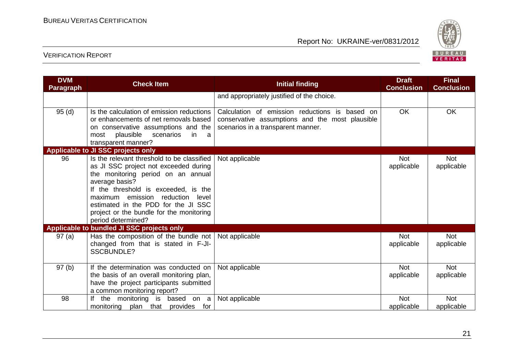

| <b>DVM</b><br>Paragraph | <b>Check Item</b>                                                                                                                                                                                                                                                                                                                         | <b>Initial finding</b>                                                                                                                  | <b>Draft</b><br><b>Conclusion</b> | <b>Final</b><br><b>Conclusion</b> |
|-------------------------|-------------------------------------------------------------------------------------------------------------------------------------------------------------------------------------------------------------------------------------------------------------------------------------------------------------------------------------------|-----------------------------------------------------------------------------------------------------------------------------------------|-----------------------------------|-----------------------------------|
|                         |                                                                                                                                                                                                                                                                                                                                           | and appropriately justified of the choice.                                                                                              |                                   |                                   |
| 95(d)                   | Is the calculation of emission reductions<br>or enhancements of net removals based<br>on conservative assumptions and the<br>plausible<br>scenarios<br>most<br>-in<br><sub>a</sub><br>transparent manner?                                                                                                                                 | Calculation of emission reductions is based on<br>conservative assumptions and the most plausible<br>scenarios in a transparent manner. | <b>OK</b>                         | OK                                |
|                         | Applicable to JI SSC projects only                                                                                                                                                                                                                                                                                                        |                                                                                                                                         |                                   |                                   |
| 96                      | Is the relevant threshold to be classified<br>as JI SSC project not exceeded during<br>the monitoring period on an annual<br>average basis?<br>If the threshold is exceeded, is the<br>maximum<br>emission<br>reduction<br>level<br>estimated in the PDD for the JI SSC<br>project or the bundle for the monitoring<br>period determined? | Not applicable                                                                                                                          | <b>Not</b><br>applicable          | <b>Not</b><br>applicable          |
|                         | Applicable to bundled JI SSC projects only                                                                                                                                                                                                                                                                                                |                                                                                                                                         |                                   |                                   |
| 97(a)                   | Has the composition of the bundle not<br>changed from that is stated in F-JI-<br><b>SSCBUNDLE?</b>                                                                                                                                                                                                                                        | Not applicable                                                                                                                          | <b>Not</b><br>applicable          | <b>Not</b><br>applicable          |
| 97(b)                   | If the determination was conducted on<br>the basis of an overall monitoring plan,<br>have the project participants submitted<br>a common monitoring report?                                                                                                                                                                               | Not applicable                                                                                                                          | <b>Not</b><br>applicable          | <b>Not</b><br>applicable          |
| 98                      | If the monitoring is based on a<br>monitoring<br>plan that provides for                                                                                                                                                                                                                                                                   | Not applicable                                                                                                                          | <b>Not</b><br>applicable          | <b>Not</b><br>applicable          |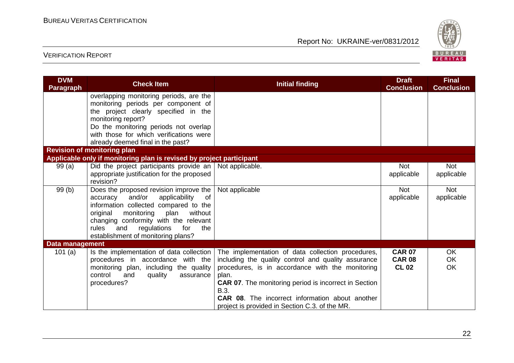

| <b>DVM</b><br><b>Paragraph</b> | <b>Check Item</b>                                                                                                                                                                                                                                                                                     | <b>Initial finding</b>                                                                                                                                                                                                                                                                                                                                    | <b>Draft</b><br><b>Conclusion</b>              | <b>Final</b><br><b>Conclusion</b> |
|--------------------------------|-------------------------------------------------------------------------------------------------------------------------------------------------------------------------------------------------------------------------------------------------------------------------------------------------------|-----------------------------------------------------------------------------------------------------------------------------------------------------------------------------------------------------------------------------------------------------------------------------------------------------------------------------------------------------------|------------------------------------------------|-----------------------------------|
|                                | overlapping monitoring periods, are the<br>monitoring periods per component of<br>the project clearly specified in the<br>monitoring report?<br>Do the monitoring periods not overlap<br>with those for which verifications were                                                                      |                                                                                                                                                                                                                                                                                                                                                           |                                                |                                   |
|                                | already deemed final in the past?<br><b>Revision of monitoring plan</b>                                                                                                                                                                                                                               |                                                                                                                                                                                                                                                                                                                                                           |                                                |                                   |
|                                | Applicable only if monitoring plan is revised by project participant                                                                                                                                                                                                                                  |                                                                                                                                                                                                                                                                                                                                                           |                                                |                                   |
| 99(a)                          | Did the project participants provide an   Not applicable.<br>appropriate justification for the proposed<br>revision?                                                                                                                                                                                  |                                                                                                                                                                                                                                                                                                                                                           | <b>Not</b><br>applicable                       | <b>Not</b><br>applicable          |
| 99(b)                          | Does the proposed revision improve the<br>and/or<br>applicability<br>of<br>accuracy<br>information collected compared to the<br>original<br>monitoring<br>plan<br>without<br>changing conformity with the relevant<br>the<br>rules<br>and<br>regulations<br>for<br>establishment of monitoring plans? | Not applicable                                                                                                                                                                                                                                                                                                                                            | <b>Not</b><br>applicable                       | <b>Not</b><br>applicable          |
| Data management                |                                                                                                                                                                                                                                                                                                       |                                                                                                                                                                                                                                                                                                                                                           |                                                |                                   |
| 101 $(a)$                      | Is the implementation of data collection<br>procedures in accordance with the<br>monitoring plan, including the quality<br>control<br>and<br>quality<br>assurance<br>procedures?                                                                                                                      | The implementation of data collection procedures,<br>including the quality control and quality assurance<br>procedures, is in accordance with the monitoring<br>plan.<br><b>CAR 07.</b> The monitoring period is incorrect in Section<br>B.3.<br><b>CAR 08.</b> The incorrect information about another<br>project is provided in Section C.3. of the MR. | <b>CAR 07</b><br><b>CAR 08</b><br><b>CL 02</b> | OK<br><b>OK</b><br>OK             |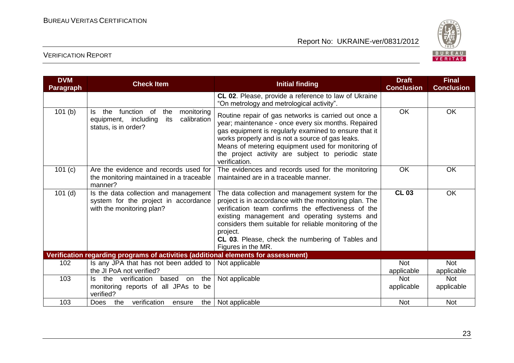

| <b>DVM</b><br><b>Paragraph</b> | <b>Check Item</b>                                                                                                    | <b>Initial finding</b>                                                                                                                                                                                                                                                                                                                                              | <b>Draft</b><br><b>Conclusion</b> | <b>Final</b><br><b>Conclusion</b> |
|--------------------------------|----------------------------------------------------------------------------------------------------------------------|---------------------------------------------------------------------------------------------------------------------------------------------------------------------------------------------------------------------------------------------------------------------------------------------------------------------------------------------------------------------|-----------------------------------|-----------------------------------|
|                                |                                                                                                                      | CL 02. Please, provide a reference to law of Ukraine<br>"On metrology and metrological activity".                                                                                                                                                                                                                                                                   |                                   |                                   |
| 101(b)                         | function of<br>monitoring<br>the<br>the<br>ls.<br>calibration<br>equipment, including<br>its<br>status, is in order? | Routine repair of gas networks is carried out once a<br>year; maintenance - once every six months. Repaired<br>gas equipment is regularly examined to ensure that it<br>works properly and is not a source of gas leaks.<br>Means of metering equipment used for monitoring of<br>the project activity are subject to periodic state<br>verification.               | OK                                | <b>OK</b>                         |
| 101 (c)                        | Are the evidence and records used for<br>the monitoring maintained in a traceable<br>manner?                         | The evidences and records used for the monitoring<br>maintained are in a traceable manner.                                                                                                                                                                                                                                                                          | OK                                | OK                                |
| $101$ (d)                      | Is the data collection and management<br>system for the project in accordance<br>with the monitoring plan?           | The data collection and management system for the<br>project is in accordance with the monitoring plan. The<br>verification team confirms the effectiveness of the<br>existing management and operating systems and<br>considers them suitable for reliable monitoring of the<br>project.<br>CL 03. Please, check the numbering of Tables and<br>Figures in the MR. | <b>CL 03</b>                      | OK                                |
|                                | Verification regarding programs of activities (additional elements for assessment)                                   |                                                                                                                                                                                                                                                                                                                                                                     |                                   |                                   |
| 102                            | Is any JPA that has not been added to                                                                                | Not applicable                                                                                                                                                                                                                                                                                                                                                      | <b>Not</b>                        | Not                               |
|                                | the JI PoA not verified?                                                                                             |                                                                                                                                                                                                                                                                                                                                                                     | applicable                        | applicable                        |
| 103                            | the verification<br>based on the<br>ls.<br>monitoring reports of all JPAs to be<br>verified?                         | Not applicable                                                                                                                                                                                                                                                                                                                                                      | <b>Not</b><br>applicable          | <b>Not</b><br>applicable          |
| 103                            | verification<br>the  <br><b>Does</b><br>the<br>ensure                                                                | Not applicable                                                                                                                                                                                                                                                                                                                                                      | <b>Not</b>                        | <b>Not</b>                        |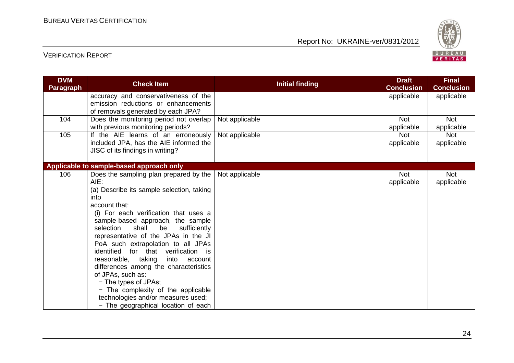

| <b>DVM</b><br><b>Paragraph</b> | <b>Check Item</b>                                                                                                                                                                                                                                                                                                                                                                                                                                                                                                                                                                                                        | <b>Initial finding</b> | <b>Draft</b><br><b>Conclusion</b> | <b>Final</b><br><b>Conclusion</b> |
|--------------------------------|--------------------------------------------------------------------------------------------------------------------------------------------------------------------------------------------------------------------------------------------------------------------------------------------------------------------------------------------------------------------------------------------------------------------------------------------------------------------------------------------------------------------------------------------------------------------------------------------------------------------------|------------------------|-----------------------------------|-----------------------------------|
|                                | accuracy and conservativeness of the<br>emission reductions or enhancements<br>of removals generated by each JPA?                                                                                                                                                                                                                                                                                                                                                                                                                                                                                                        |                        | applicable                        | applicable                        |
| 104                            | Does the monitoring period not overlap<br>with previous monitoring periods?                                                                                                                                                                                                                                                                                                                                                                                                                                                                                                                                              | Not applicable         | <b>Not</b><br>applicable          | <b>Not</b><br>applicable          |
| 105                            | If the AIE learns of an erroneously<br>included JPA, has the AIE informed the<br>JISC of its findings in writing?                                                                                                                                                                                                                                                                                                                                                                                                                                                                                                        | Not applicable         | <b>Not</b><br>applicable          | <b>Not</b><br>applicable          |
|                                | Applicable to sample-based approach only                                                                                                                                                                                                                                                                                                                                                                                                                                                                                                                                                                                 |                        |                                   |                                   |
| 106                            | Does the sampling plan prepared by the<br>$AIE$ :<br>(a) Describe its sample selection, taking<br>into<br>account that:<br>(i) For each verification that uses a<br>sample-based approach, the sample<br>selection<br>shall<br>be<br>sufficiently<br>representative of the JPAs in the JI<br>PoA such extrapolation to all JPAs<br>identified for that verification is<br>reasonable, taking<br>into<br>account<br>differences among the characteristics<br>of JPAs, such as:<br>- The types of JPAs;<br>- The complexity of the applicable<br>technologies and/or measures used;<br>- The geographical location of each | Not applicable         | <b>Not</b><br>applicable          | <b>Not</b><br>applicable          |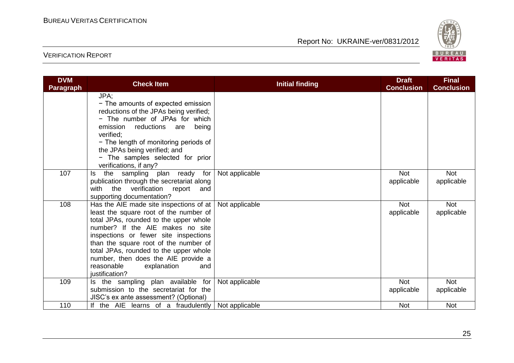

| <b>DVM</b><br><b>Paragraph</b> | <b>Check Item</b>                                                                                                                                                                                                                                                                                                                                                                        | <b>Initial finding</b> | <b>Draft</b><br><b>Conclusion</b> | <b>Final</b><br><b>Conclusion</b> |
|--------------------------------|------------------------------------------------------------------------------------------------------------------------------------------------------------------------------------------------------------------------------------------------------------------------------------------------------------------------------------------------------------------------------------------|------------------------|-----------------------------------|-----------------------------------|
|                                | JPA;<br>- The amounts of expected emission<br>reductions of the JPAs being verified;<br>- The number of JPAs for which<br>reductions<br>being<br>emission<br>are<br>verified:<br>- The length of monitoring periods of<br>the JPAs being verified; and<br>- The samples selected for prior<br>verifications, if any?                                                                     |                        |                                   |                                   |
| 107                            | the sampling plan ready for<br>ls.<br>publication through the secretariat along<br>with the<br>verification<br>report<br>and<br>supporting documentation?                                                                                                                                                                                                                                | Not applicable         | <b>Not</b><br>applicable          | <b>Not</b><br>applicable          |
| 108                            | Has the AIE made site inspections of at<br>least the square root of the number of<br>total JPAs, rounded to the upper whole<br>number? If the AIE makes no site<br>inspections or fewer site inspections<br>than the square root of the number of<br>total JPAs, rounded to the upper whole<br>number, then does the AIE provide a<br>reasonable<br>explanation<br>and<br>justification? | Not applicable         | <b>Not</b><br>applicable          | Not<br>applicable                 |
| 109                            | Is the sampling plan available for<br>submission to the secretariat for the<br>JISC's ex ante assessment? (Optional)                                                                                                                                                                                                                                                                     | Not applicable         | <b>Not</b><br>applicable          | <b>Not</b><br>applicable          |
| 110                            | If the AIE learns of a fraudulently                                                                                                                                                                                                                                                                                                                                                      | Not applicable         | <b>Not</b>                        | <b>Not</b>                        |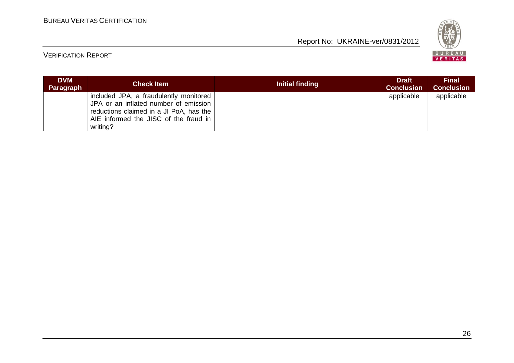

| <b>DVM</b><br>Paragraph | <b>Check Item</b>                                                                                                                                                               | Initial finding | <b>Draft</b><br><b>Conclusion</b> | <b>Final</b><br><b>Conclusion</b> |
|-------------------------|---------------------------------------------------------------------------------------------------------------------------------------------------------------------------------|-----------------|-----------------------------------|-----------------------------------|
|                         | included JPA, a fraudulently monitored<br>JPA or an inflated number of emission<br>reductions claimed in a JI PoA, has the<br>AIE informed the JISC of the fraud in<br>writing? |                 | applicable                        | applicable                        |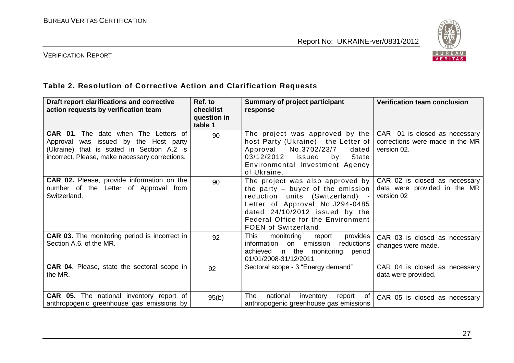

#### VERIFICATION REPORT

## **Table 2. Resolution of Corrective Action and Clarification Requests**

| Draft report clarifications and corrective<br>action requests by verification team                                                                                            | Ref. to<br>checklist<br>question in<br>table 1 | <b>Summary of project participant</b><br>response                                                                                                                                                                                             | <b>Verification team conclusion</b>                                             |
|-------------------------------------------------------------------------------------------------------------------------------------------------------------------------------|------------------------------------------------|-----------------------------------------------------------------------------------------------------------------------------------------------------------------------------------------------------------------------------------------------|---------------------------------------------------------------------------------|
| CAR 01. The date when The Letters of<br>Approval was issued by the Host party<br>(Ukraine) that is stated in Section A.2 is<br>incorrect. Please, make necessary corrections. | 90                                             | The project was approved by the<br>host Party (Ukraine) - the Letter of<br>No.3702/23/7<br>Approval<br>dated<br>03/12/2012 issued<br>State<br>by<br>Environmental Investment Agency<br>of Ukraine.                                            | CAR 01 is closed as necessary<br>corrections were made in the MR<br>version 02. |
| <b>CAR 02.</b> Please, provide information on the<br>number of the Letter of Approval from<br>Switzerland.                                                                    | 90                                             | The project was also approved by<br>the party $-$ buyer of the emission<br>reduction units (Switzerland) -<br>Letter of Approval No.J294-0485<br>dated 24/10/2012 issued by the<br>Federal Office for the Environment<br>FOEN of Switzerland. | CAR 02 is closed as necessary<br>data were provided in the MR<br>version 02     |
| <b>CAR 03.</b> The monitoring period is incorrect in<br>Section A.6. of the MR.                                                                                               | 92                                             | This<br>monitoring<br>provides<br>report<br>information<br>emission<br>reductions<br>on<br>achieved in the monitoring period<br>01/01/2008-31/12/2011                                                                                         | CAR 03 is closed as necessary<br>changes were made.                             |
| <b>CAR 04.</b> Please, state the sectoral scope in<br>the MR.                                                                                                                 | 92                                             | Sectoral scope - 3 "Energy demand"                                                                                                                                                                                                            | CAR 04 is closed as necessary<br>data were provided.                            |
| <b>CAR 05.</b> The national inventory report of<br>anthropogenic greenhouse gas emissions by                                                                                  | 95(b)                                          | <b>The</b><br>national<br>inventory<br>report<br>of<br>anthropogenic greenhouse gas emissions                                                                                                                                                 | CAR 05 is closed as necessary                                                   |